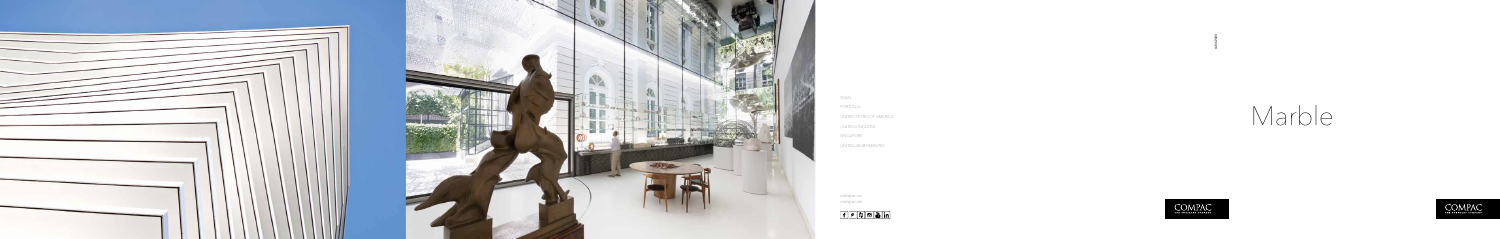



 $f$   $\rho$   $f$   $\Theta$   $\ddot{a}$  in

*Q/04/2020*







compac.us compac.es

SPAIN PORTUGAL UNITED STATES OF AMERICA UNITED KINGDOM SINGAPORE UNITED ARAB EMIRATES